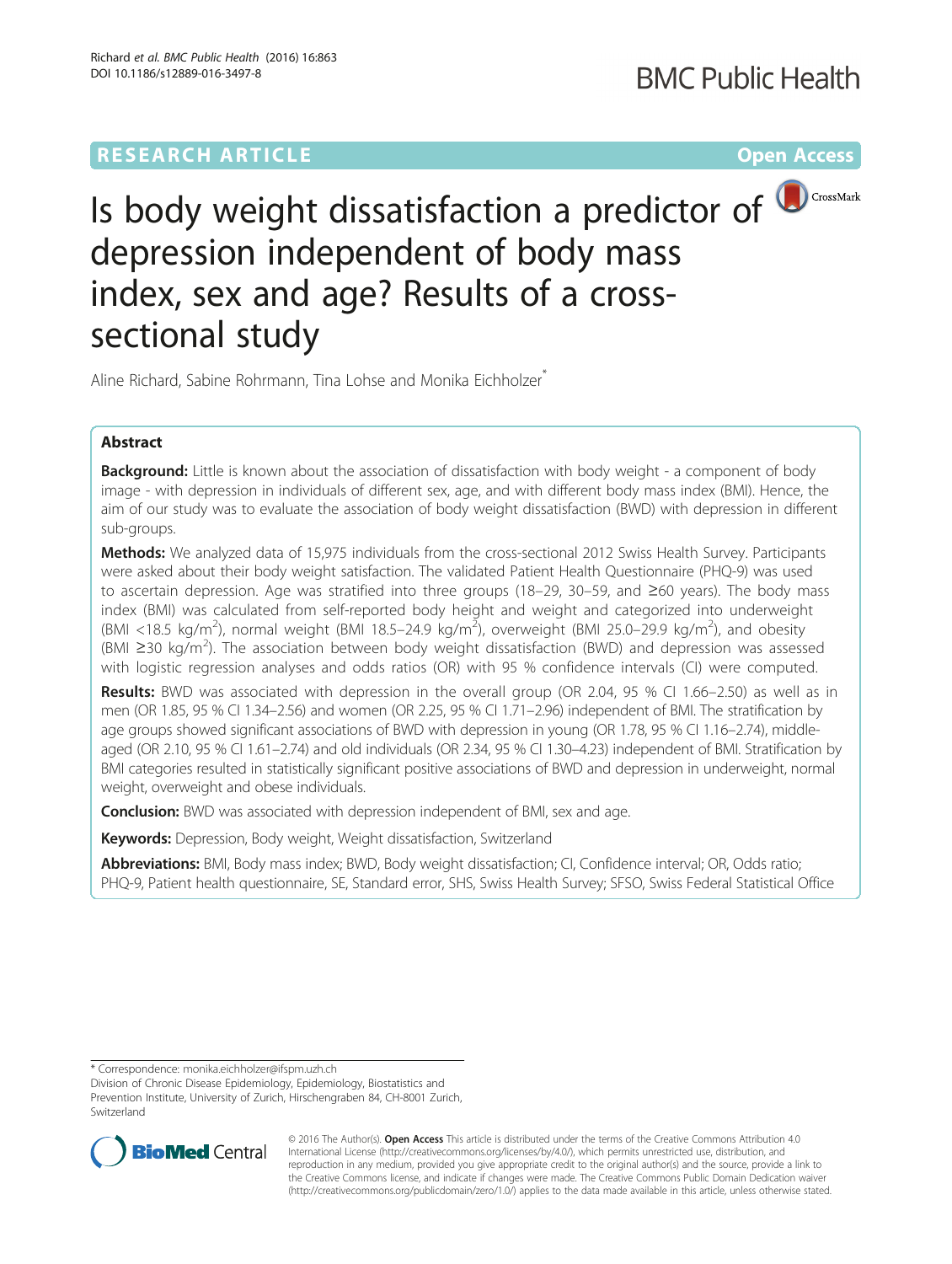# **RESEARCH ARTICLE Example 2018 12:00 Department of the Contract Open Access**



Is body weight dissatisfaction a predictor of **D**CrossMark depression independent of body mass index, sex and age? Results of a crosssectional study

Aline Richard, Sabine Rohrmann, Tina Lohse and Monika Eichholzer<sup>\*</sup>

## Abstract

**Background:** Little is known about the association of dissatisfaction with body weight - a component of body image - with depression in individuals of different sex, age, and with different body mass index (BMI). Hence, the aim of our study was to evaluate the association of body weight dissatisfaction (BWD) with depression in different sub-groups.

Methods: We analyzed data of 15,975 individuals from the cross-sectional 2012 Swiss Health Survey. Participants were asked about their body weight satisfaction. The validated Patient Health Questionnaire (PHQ-9) was used to ascertain depression. Age was stratified into three groups (18–29, 30–59, and ≥60 years). The body mass index (BMI) was calculated from self-reported body height and weight and categorized into underweight (BMI <18.5 kg/m<sup>2</sup>), normal weight (BMI 18.5-24.9 kg/m<sup>2</sup>), overweight (BMI 25.0-29.9 kg/m<sup>2</sup>), and obesity (BMI ≥30 kg/m<sup>2</sup>). The association between body weight dissatisfaction (BWD) and depression was assessed with logistic regression analyses and odds ratios (OR) with 95 % confidence intervals (CI) were computed.

Results: BWD was associated with depression in the overall group (OR 2.04, 95 % CI 1.66–2.50) as well as in men (OR 1.85, 95 % CI 1.34–2.56) and women (OR 2.25, 95 % CI 1.71–2.96) independent of BMI. The stratification by age groups showed significant associations of BWD with depression in young (OR 1.78, 95 % CI 1.16–2.74), middleaged (OR 2.10, 95 % CI 1.61–2.74) and old individuals (OR 2.34, 95 % CI 1.30–4.23) independent of BMI. Stratification by BMI categories resulted in statistically significant positive associations of BWD and depression in underweight, normal weight, overweight and obese individuals.

**Conclusion:** BWD was associated with depression independent of BMI, sex and age.

**Keywords:** Depression, Body weight, Weight dissatisfaction, Switzerland

Abbreviations: BMI, Body mass index; BWD, Body weight dissatisfaction; CI, Confidence interval; OR, Odds ratio; PHQ-9, Patient health questionnaire, SE, Standard error, SHS, Swiss Health Survey; SFSO, Swiss Federal Statistical Office

\* Correspondence: [monika.eichholzer@ifspm.uzh.ch](mailto:monika.eichholzer@ifspm.uzh.ch)

Division of Chronic Disease Epidemiology, Epidemiology, Biostatistics and Prevention Institute, University of Zurich, Hirschengraben 84, CH-8001 Zurich, **Switzerland** 



© 2016 The Author(s). Open Access This article is distributed under the terms of the Creative Commons Attribution 4.0 International License [\(http://creativecommons.org/licenses/by/4.0/](http://creativecommons.org/licenses/by/4.0/)), which permits unrestricted use, distribution, and reproduction in any medium, provided you give appropriate credit to the original author(s) and the source, provide a link to the Creative Commons license, and indicate if changes were made. The Creative Commons Public Domain Dedication waiver [\(http://creativecommons.org/publicdomain/zero/1.0/](http://creativecommons.org/publicdomain/zero/1.0/)) applies to the data made available in this article, unless otherwise stated.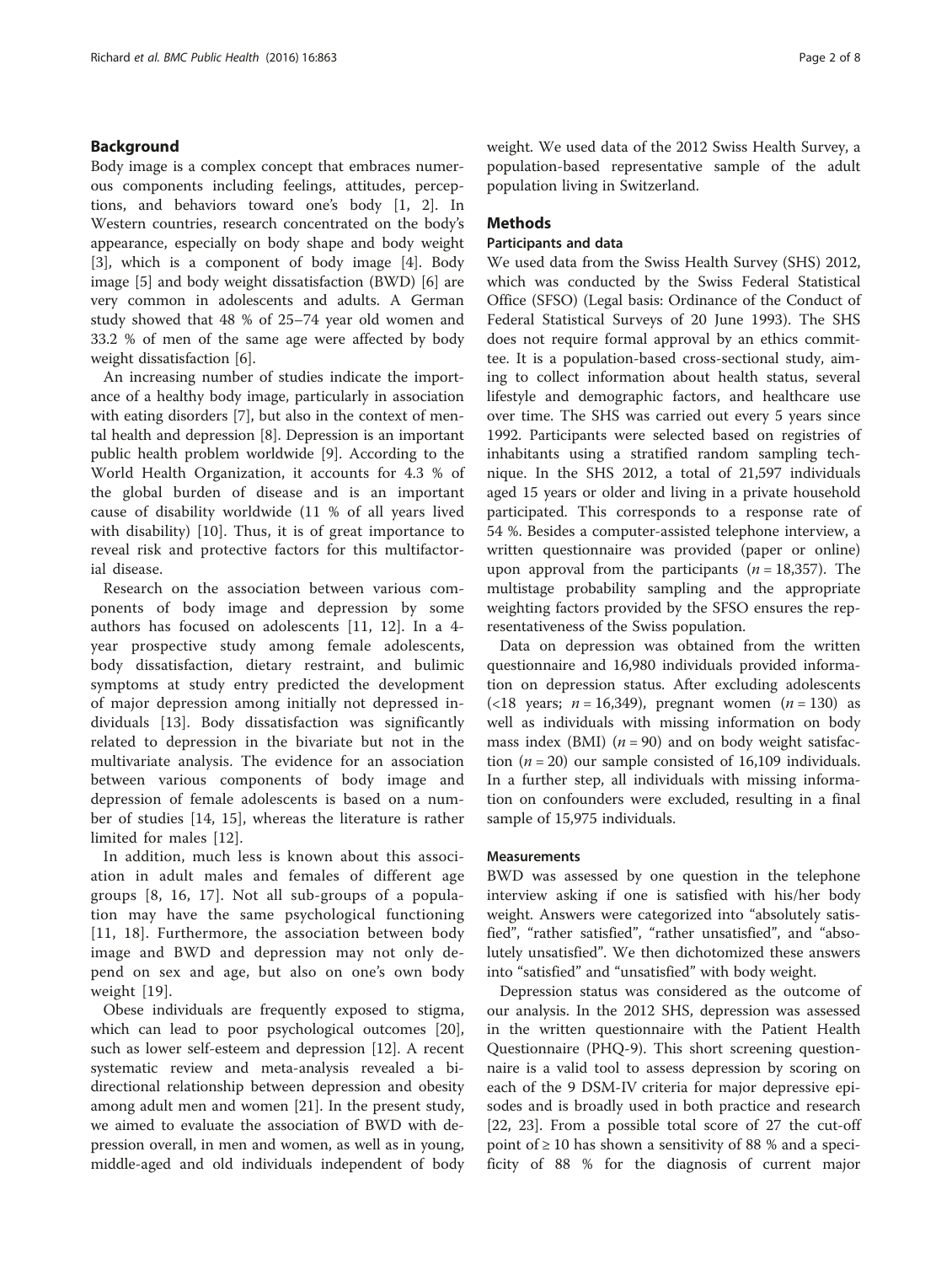## Background

Body image is a complex concept that embraces numerous components including feelings, attitudes, perceptions, and behaviors toward one's body [[1](#page-6-0), [2\]](#page-6-0). In Western countries, research concentrated on the body's appearance, especially on body shape and body weight [[3\]](#page-6-0), which is a component of body image [[4\]](#page-6-0). Body image [\[5](#page-6-0)] and body weight dissatisfaction (BWD) [[6\]](#page-6-0) are very common in adolescents and adults. A German study showed that 48 % of 25–74 year old women and 33.2 % of men of the same age were affected by body weight dissatisfaction [[6\]](#page-6-0).

An increasing number of studies indicate the importance of a healthy body image, particularly in association with eating disorders [[7\]](#page-6-0), but also in the context of mental health and depression [[8\]](#page-6-0). Depression is an important public health problem worldwide [[9\]](#page-6-0). According to the World Health Organization, it accounts for 4.3 % of the global burden of disease and is an important cause of disability worldwide (11 % of all years lived with disability) [[10\]](#page-6-0). Thus, it is of great importance to reveal risk and protective factors for this multifactorial disease.

Research on the association between various components of body image and depression by some authors has focused on adolescents [[11, 12\]](#page-6-0). In a 4 year prospective study among female adolescents, body dissatisfaction, dietary restraint, and bulimic symptoms at study entry predicted the development of major depression among initially not depressed individuals [[13\]](#page-6-0). Body dissatisfaction was significantly related to depression in the bivariate but not in the multivariate analysis. The evidence for an association between various components of body image and depression of female adolescents is based on a number of studies [\[14](#page-6-0), [15\]](#page-6-0), whereas the literature is rather limited for males [[12\]](#page-6-0).

In addition, much less is known about this association in adult males and females of different age groups [[8](#page-6-0), [16, 17\]](#page-6-0). Not all sub-groups of a population may have the same psychological functioning [[11](#page-6-0), [18\]](#page-6-0). Furthermore, the association between body image and BWD and depression may not only depend on sex and age, but also on one's own body weight [[19](#page-6-0)].

Obese individuals are frequently exposed to stigma, which can lead to poor psychological outcomes [\[20](#page-6-0)], such as lower self-esteem and depression [[12](#page-6-0)]. A recent systematic review and meta-analysis revealed a bidirectional relationship between depression and obesity among adult men and women [\[21\]](#page-6-0). In the present study, we aimed to evaluate the association of BWD with depression overall, in men and women, as well as in young, middle-aged and old individuals independent of body weight. We used data of the 2012 Swiss Health Survey, a population-based representative sample of the adult population living in Switzerland.

## **Methods**

## Participants and data

We used data from the Swiss Health Survey (SHS) 2012, which was conducted by the Swiss Federal Statistical Office (SFSO) (Legal basis: Ordinance of the Conduct of Federal Statistical Surveys of 20 June 1993). The SHS does not require formal approval by an ethics committee. It is a population-based cross-sectional study, aiming to collect information about health status, several lifestyle and demographic factors, and healthcare use over time. The SHS was carried out every 5 years since 1992. Participants were selected based on registries of inhabitants using a stratified random sampling technique. In the SHS 2012, a total of 21,597 individuals aged 15 years or older and living in a private household participated. This corresponds to a response rate of 54 %. Besides a computer-assisted telephone interview, a written questionnaire was provided (paper or online) upon approval from the participants  $(n = 18,357)$ . The multistage probability sampling and the appropriate weighting factors provided by the SFSO ensures the representativeness of the Swiss population.

Data on depression was obtained from the written questionnaire and 16,980 individuals provided information on depression status. After excluding adolescents (<18 years;  $n = 16,349$ ), pregnant women  $(n = 130)$  as well as individuals with missing information on body mass index (BMI) ( $n = 90$ ) and on body weight satisfaction ( $n = 20$ ) our sample consisted of 16,109 individuals. In a further step, all individuals with missing information on confounders were excluded, resulting in a final sample of 15,975 individuals.

#### **Measurements**

BWD was assessed by one question in the telephone interview asking if one is satisfied with his/her body weight. Answers were categorized into "absolutely satisfied", "rather satisfied", "rather unsatisfied", and "absolutely unsatisfied". We then dichotomized these answers into "satisfied" and "unsatisfied" with body weight.

Depression status was considered as the outcome of our analysis. In the 2012 SHS, depression was assessed in the written questionnaire with the Patient Health Questionnaire (PHQ-9). This short screening questionnaire is a valid tool to assess depression by scoring on each of the 9 DSM-IV criteria for major depressive episodes and is broadly used in both practice and research [[22, 23](#page-7-0)]. From a possible total score of 27 the cut-off point of  $\geq 10$  has shown a sensitivity of 88 % and a specificity of 88 % for the diagnosis of current major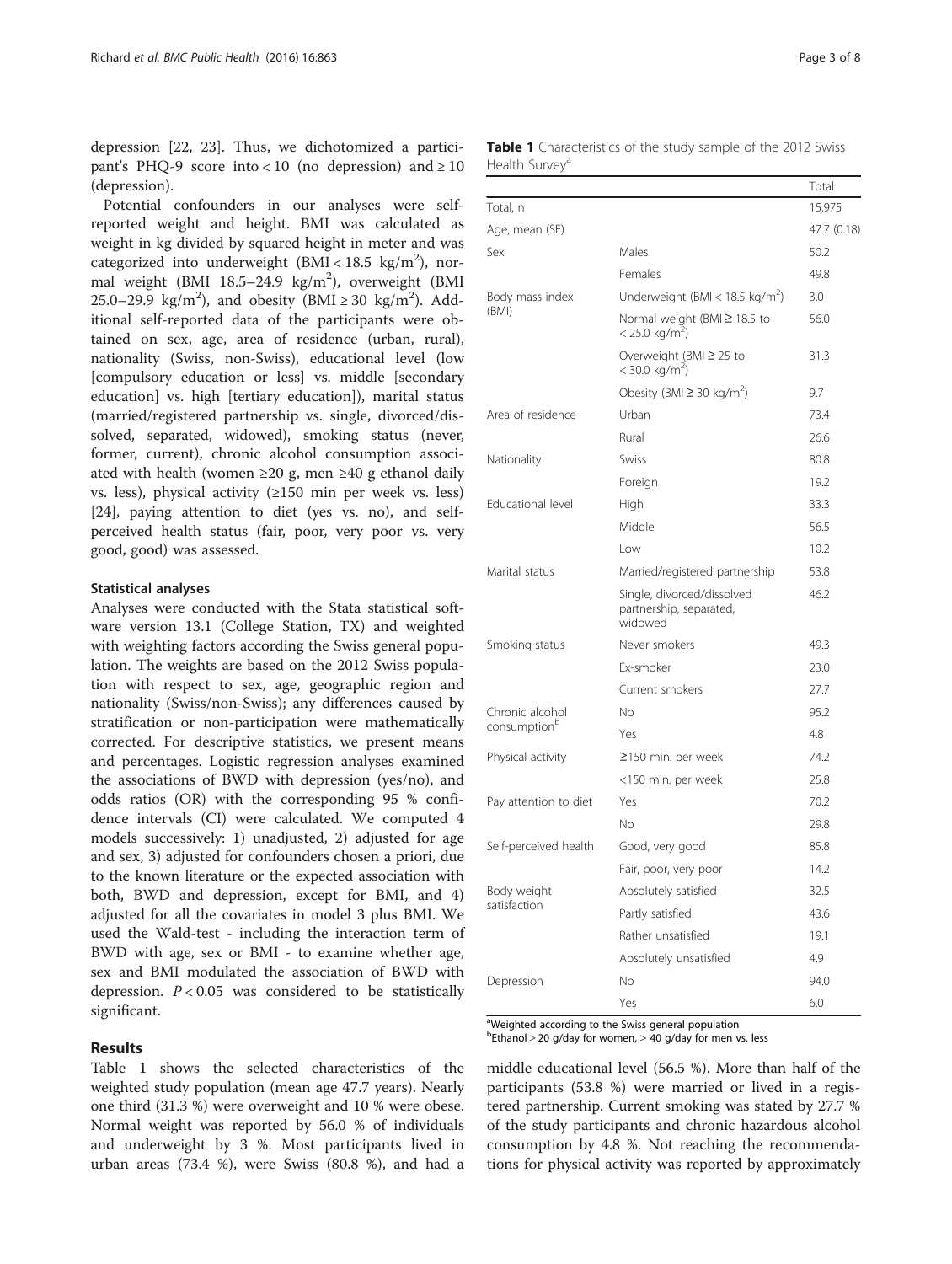depression [[22](#page-7-0), [23](#page-7-0)]. Thus, we dichotomized a participant's PHQ-9 score into < 10 (no depression) and  $\geq 10$ (depression).

Potential confounders in our analyses were selfreported weight and height. BMI was calculated as weight in kg divided by squared height in meter and was categorized into underweight  $(BMI < 18.5 \text{ kg/m}^2)$ , normal weight (BMI 18.5-24.9 kg/m<sup>2</sup>), overweight (BMI 25.0–29.9 kg/m<sup>2</sup>), and obesity (BMI  $\geq$  30 kg/m<sup>2</sup>). Additional self-reported data of the participants were obtained on sex, age, area of residence (urban, rural), nationality (Swiss, non-Swiss), educational level (low [compulsory education or less] vs. middle [secondary education] vs. high [tertiary education]), marital status (married/registered partnership vs. single, divorced/dissolved, separated, widowed), smoking status (never, former, current), chronic alcohol consumption associated with health (women ≥20 g, men ≥40 g ethanol daily vs. less), physical activity (≥150 min per week vs. less) [[24\]](#page-7-0), paying attention to diet (yes vs. no), and selfperceived health status (fair, poor, very poor vs. very good, good) was assessed.

## Statistical analyses

Analyses were conducted with the Stata statistical software version 13.1 (College Station, TX) and weighted with weighting factors according the Swiss general population. The weights are based on the 2012 Swiss population with respect to sex, age, geographic region and nationality (Swiss/non-Swiss); any differences caused by stratification or non-participation were mathematically corrected. For descriptive statistics, we present means and percentages. Logistic regression analyses examined the associations of BWD with depression (yes/no), and odds ratios (OR) with the corresponding 95 % confidence intervals (CI) were calculated. We computed 4 models successively: 1) unadjusted, 2) adjusted for age and sex, 3) adjusted for confounders chosen a priori, due to the known literature or the expected association with both, BWD and depression, except for BMI, and 4) adjusted for all the covariates in model 3 plus BMI. We used the Wald-test - including the interaction term of BWD with age, sex or BMI - to examine whether age, sex and BMI modulated the association of BWD with depression.  $P < 0.05$  was considered to be statistically significant.

## Results

Table 1 shows the selected characteristics of the weighted study population (mean age 47.7 years). Nearly one third (31.3 %) were overweight and 10 % were obese. Normal weight was reported by 56.0 % of individuals and underweight by 3 %. Most participants lived in urban areas (73.4 %), were Swiss (80.8 %), and had a

| Table 1 Characteristics of the study sample of the 2012 Swiss |  |  |
|---------------------------------------------------------------|--|--|

Health Survey<sup>a</sup>

|                          |                                                                  | Total       |
|--------------------------|------------------------------------------------------------------|-------------|
| Total, n                 |                                                                  | 15,975      |
| Age, mean (SE)           |                                                                  | 47.7 (0.18) |
| Sex                      | Males                                                            | 50.2        |
|                          | Females                                                          | 49.8        |
| Body mass index          | Underweight (BMI < 18.5 kg/m <sup>2</sup> )                      | 3.0         |
| (BMI)                    | Normal weight (BMI ≥ 18.5 to<br>$< 25.0$ kg/m <sup>2</sup> )     | 56.0        |
|                          | Overweight (BMI $\geq$ 25 to<br>$<$ 30.0 kg/m <sup>2</sup> )     | 31.3        |
|                          | Obesity (BMI $\geq$ 30 kg/m <sup>2</sup> )                       | 9.7         |
| Area of residence        | Urban                                                            | 73.4        |
|                          | Rural                                                            | 26.6        |
| Nationality              | <b>Swiss</b>                                                     | 80.8        |
|                          | Foreign                                                          | 19.2        |
| Educational level        | High                                                             | 33.3        |
|                          | Middle                                                           | 56.5        |
|                          | Low                                                              | 10.2        |
| Marital status           | Married/registered partnership                                   | 53.8        |
|                          | Single, divorced/dissolved<br>partnership, separated,<br>widowed | 46.2        |
| Smoking status           | Never smokers                                                    | 49.3        |
|                          | Ex-smoker                                                        | 23.0        |
|                          | Current smokers                                                  | 27.7        |
| Chronic alcohol          | No                                                               | 95.2        |
| consumption <sup>b</sup> | Yes                                                              | 4.8         |
| Physical activity        | ≥150 min. per week                                               | 74.2        |
|                          | <150 min. per week                                               | 25.8        |
| Pay attention to diet    | Yes                                                              | 70.2        |
|                          | No                                                               | 29.8        |
| Self-perceived health    | Good, very good                                                  | 85.8        |
|                          | Fair, poor, very poor                                            | 14.2        |
| Body weight              | Absolutely satisfied                                             | 32.5        |
| satisfaction             | Partly satisfied                                                 | 43.6        |
|                          | Rather unsatisfied                                               | 19.1        |
|                          | Absolutely unsatisfied                                           | 4.9         |
| Depression               | No                                                               | 94.0        |
|                          | Yes                                                              | 6.0         |

<sup>a</sup>Weighted according to the Swiss general population  $b$ Ethanol  $\geq$  20 g/day for women,  $\geq$  40 g/day for men vs. less

middle educational level (56.5 %). More than half of the participants (53.8 %) were married or lived in a registered partnership. Current smoking was stated by 27.7 % of the study participants and chronic hazardous alcohol consumption by 4.8 %. Not reaching the recommendations for physical activity was reported by approximately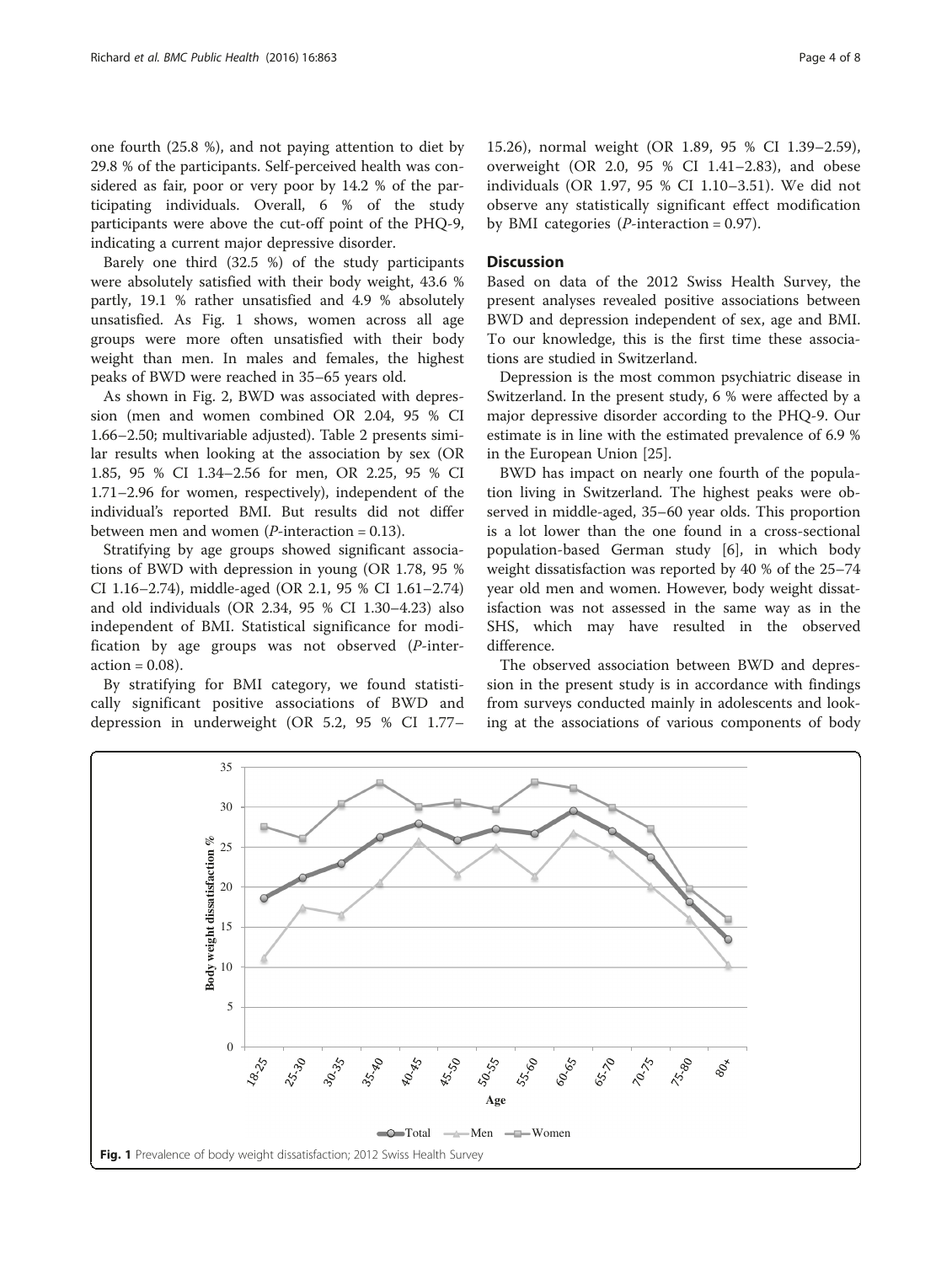one fourth (25.8 %), and not paying attention to diet by 29.8 % of the participants. Self-perceived health was considered as fair, poor or very poor by 14.2 % of the participating individuals. Overall, 6 % of the study participants were above the cut-off point of the PHQ-9, indicating a current major depressive disorder.

Barely one third (32.5 %) of the study participants were absolutely satisfied with their body weight, 43.6 % partly, 19.1 % rather unsatisfied and 4.9 % absolutely unsatisfied. As Fig. 1 shows, women across all age groups were more often unsatisfied with their body weight than men. In males and females, the highest peaks of BWD were reached in 35–65 years old.

As shown in Fig. [2](#page-4-0), BWD was associated with depression (men and women combined OR 2.04, 95 % CI 1.66–2.50; multivariable adjusted). Table [2](#page-4-0) presents similar results when looking at the association by sex (OR 1.85, 95 % CI 1.34–2.56 for men, OR 2.25, 95 % CI 1.71–2.96 for women, respectively), independent of the individual's reported BMI. But results did not differ between men and women  $(P\text{-}interaction = 0.13)$ .

Stratifying by age groups showed significant associations of BWD with depression in young (OR 1.78, 95 % CI 1.16–2.74), middle-aged (OR 2.1, 95 % CI 1.61–2.74) and old individuals (OR 2.34, 95 % CI 1.30–4.23) also independent of BMI. Statistical significance for modification by age groups was not observed (P-inter $action = 0.08$ ).

By stratifying for BMI category, we found statistically significant positive associations of BWD and depression in underweight (OR 5.2, 95 % CI 1.77–

15.26), normal weight (OR 1.89, 95 % CI 1.39–2.59), overweight (OR 2.0, 95 % CI 1.41–2.83), and obese individuals (OR 1.97, 95 % CI 1.10–3.51). We did not observe any statistically significant effect modification by BMI categories  $(P\text{-}interaction = 0.97)$ .

## **Discussion**

Based on data of the 2012 Swiss Health Survey, the present analyses revealed positive associations between BWD and depression independent of sex, age and BMI. To our knowledge, this is the first time these associations are studied in Switzerland.

Depression is the most common psychiatric disease in Switzerland. In the present study, 6 % were affected by a major depressive disorder according to the PHQ-9. Our estimate is in line with the estimated prevalence of 6.9 % in the European Union [\[25](#page-7-0)].

BWD has impact on nearly one fourth of the population living in Switzerland. The highest peaks were observed in middle-aged, 35–60 year olds. This proportion is a lot lower than the one found in a cross-sectional population-based German study [[6\]](#page-6-0), in which body weight dissatisfaction was reported by 40 % of the 25–74 year old men and women. However, body weight dissatisfaction was not assessed in the same way as in the SHS, which may have resulted in the observed difference.

The observed association between BWD and depression in the present study is in accordance with findings from surveys conducted mainly in adolescents and looking at the associations of various components of body

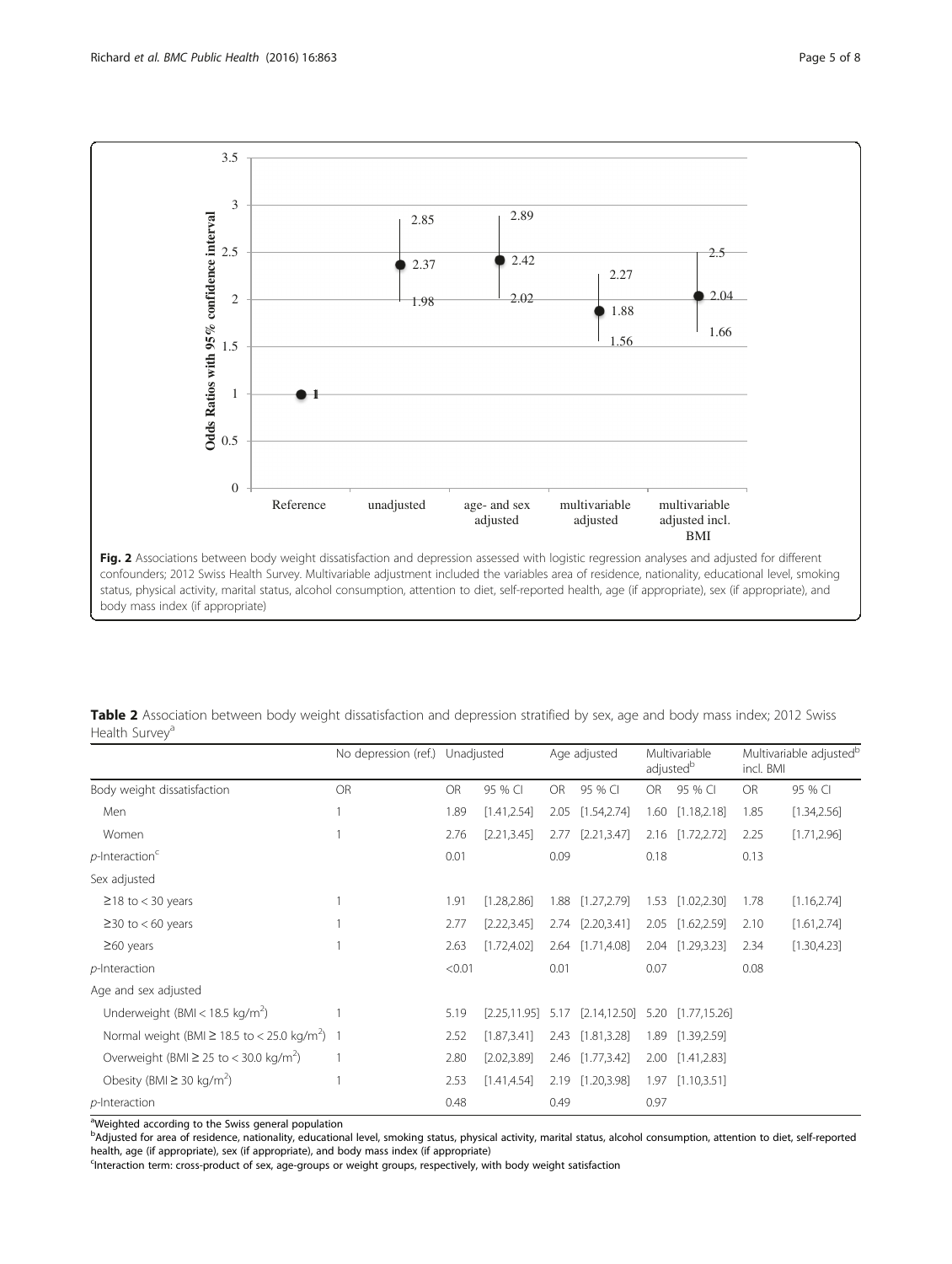<span id="page-4-0"></span>

body mass index (if appropriate)

| Table 2 Association between body weight dissatisfaction and depression stratified by sex, age and body mass index; 2012 Swiss |  |  |  |  |
|-------------------------------------------------------------------------------------------------------------------------------|--|--|--|--|
| Health Survey <sup>a</sup>                                                                                                    |  |  |  |  |

|                                                                | No depression (ref.) | Unadjusted |               |           | Age adjusted     |           | Multivariable<br>adjusted <sup>b</sup> | incl. BMI | Multivariable adjusted <sup>b</sup> |
|----------------------------------------------------------------|----------------------|------------|---------------|-----------|------------------|-----------|----------------------------------------|-----------|-------------------------------------|
| Body weight dissatisfaction                                    | OR                   | <b>OR</b>  | 95 % CI       | <b>OR</b> | 95 % CI          | <b>OR</b> | 95 % CI                                | <b>OR</b> | 95 % CI                             |
| Men                                                            |                      | 1.89       | [1.41, 2.54]  | 2.05      | [1.54, 2.74]     | 1.60      | [1.18, 2.18]                           | 1.85      | [1.34, 2.56]                        |
| Women                                                          |                      | 2.76       | [2.21, 3.45]  | 2.77      | [2.21, 3.47]     | 2.16      | [1.72, 2.72]                           | 2.25      | [1.71, 2.96]                        |
| $p$ -Interaction <sup>c</sup>                                  |                      | 0.01       |               | 0.09      |                  | 0.18      |                                        | 0.13      |                                     |
| Sex adjusted                                                   |                      |            |               |           |                  |           |                                        |           |                                     |
| $\geq$ 18 to < 30 years                                        |                      | 1.91       | [1.28, 2.86]  | 1.88      | [1.27, 2.79]     | 1.53      | [1.02, 2.30]                           | 1.78      | [1.16, 2.74]                        |
| $\geq$ 30 to < 60 years                                        |                      | 2.77       | [2.22, 3.45]  | 2.74      | [2.20, 3.41]     | 2.05      | [1.62, 2.59]                           | 2.10      | [1.61, 2.74]                        |
| $\geq 60$ years                                                |                      | 2.63       | [1.72, 4.02]  |           | 2.64 [1.71,4.08] |           | 2.04 [1.29,3.23]                       | 2.34      | [1.30, 4.23]                        |
| p-Interaction                                                  |                      | < 0.01     |               | 0.01      |                  | 0.07      |                                        | 0.08      |                                     |
| Age and sex adjusted                                           |                      |            |               |           |                  |           |                                        |           |                                     |
| Underweight (BMI < 18.5 kg/m <sup>2</sup> )                    |                      | 5.19       | [2.25, 11.95] | 5.17      | [2.14, 12.50]    | 5.20      | [1.77, 15.26]                          |           |                                     |
| Normal weight (BMI $\geq$ 18.5 to < 25.0 kg/m <sup>2</sup> ) 1 |                      | 2.52       | [1.87, 3.41]  | 2.43      | [1.81, 3.28]     | 1.89      | [1.39, 2.59]                           |           |                                     |
| Overweight (BMI $\geq$ 25 to < 30.0 kg/m <sup>2</sup> )        |                      | 2.80       | [2.02, 3.89]  | 2.46      | [1.77, 3.42]     | 2.00      | [1.41, 2.83]                           |           |                                     |
| Obesity (BMI $\geq$ 30 kg/m <sup>2</sup> )                     |                      | 2.53       | [1.41, 4.54]  | 2.19      | [1.20, 3.98]     | 1.97      | [1.10, 3.51]                           |           |                                     |
| p-Interaction                                                  |                      | 0.48       |               | 0.49      |                  | 0.97      |                                        |           |                                     |

<sup>a</sup>Weighted according to the Swiss general population

b<br>Adjusted for area of residence, nationality, educational level, smoking status, physical activity, marital status, alcohol consumption, attention to diet, self-reported health, age (if appropriate), sex (if appropriate), and body mass index (if appropriate)

Interaction term: cross-product of sex, age-groups or weight groups, respectively, with body weight satisfaction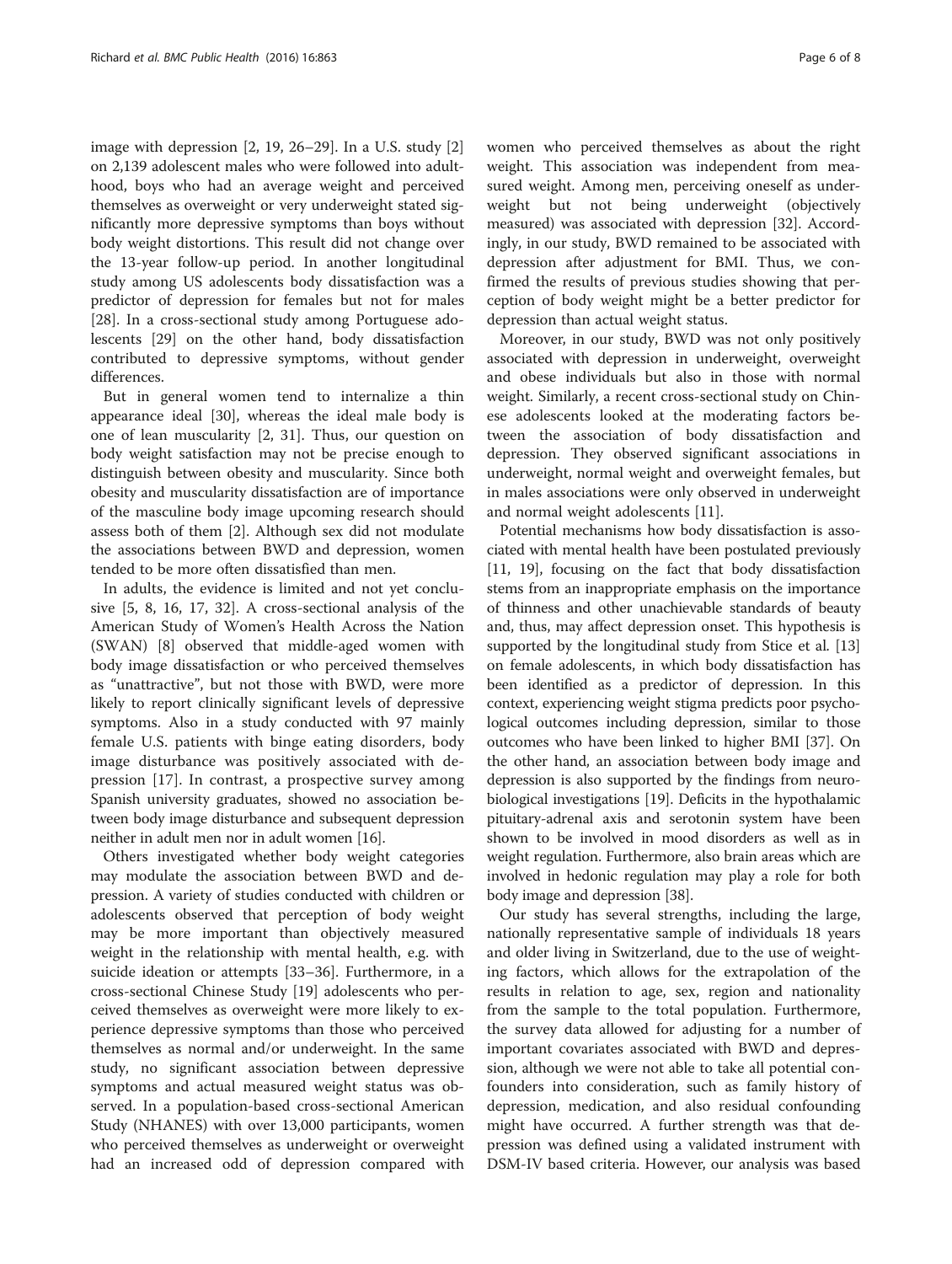image with depression [\[2](#page-6-0), [19](#page-6-0), [26](#page-7-0)–[29](#page-7-0)]. In a U.S. study [\[2](#page-6-0)] on 2,139 adolescent males who were followed into adulthood, boys who had an average weight and perceived themselves as overweight or very underweight stated significantly more depressive symptoms than boys without body weight distortions. This result did not change over the 13-year follow-up period. In another longitudinal study among US adolescents body dissatisfaction was a predictor of depression for females but not for males [[28\]](#page-7-0). In a cross-sectional study among Portuguese adolescents [[29\]](#page-7-0) on the other hand, body dissatisfaction contributed to depressive symptoms, without gender differences.

But in general women tend to internalize a thin appearance ideal [[30\]](#page-7-0), whereas the ideal male body is one of lean muscularity [\[2](#page-6-0), [31](#page-7-0)]. Thus, our question on body weight satisfaction may not be precise enough to distinguish between obesity and muscularity. Since both obesity and muscularity dissatisfaction are of importance of the masculine body image upcoming research should assess both of them [[2\]](#page-6-0). Although sex did not modulate the associations between BWD and depression, women tended to be more often dissatisfied than men.

In adults, the evidence is limited and not yet conclusive [\[5](#page-6-0), [8, 16, 17](#page-6-0), [32](#page-7-0)]. A cross-sectional analysis of the American Study of Women's Health Across the Nation (SWAN) [[8\]](#page-6-0) observed that middle-aged women with body image dissatisfaction or who perceived themselves as "unattractive", but not those with BWD, were more likely to report clinically significant levels of depressive symptoms. Also in a study conducted with 97 mainly female U.S. patients with binge eating disorders, body image disturbance was positively associated with depression [[17\]](#page-6-0). In contrast, a prospective survey among Spanish university graduates, showed no association between body image disturbance and subsequent depression neither in adult men nor in adult women [\[16](#page-6-0)].

Others investigated whether body weight categories may modulate the association between BWD and depression. A variety of studies conducted with children or adolescents observed that perception of body weight may be more important than objectively measured weight in the relationship with mental health, e.g. with suicide ideation or attempts [\[33](#page-7-0)–[36\]](#page-7-0). Furthermore, in a cross-sectional Chinese Study [\[19](#page-6-0)] adolescents who perceived themselves as overweight were more likely to experience depressive symptoms than those who perceived themselves as normal and/or underweight. In the same study, no significant association between depressive symptoms and actual measured weight status was observed. In a population-based cross-sectional American Study (NHANES) with over 13,000 participants, women who perceived themselves as underweight or overweight had an increased odd of depression compared with women who perceived themselves as about the right weight. This association was independent from measured weight. Among men, perceiving oneself as underweight but not being underweight (objectively measured) was associated with depression [[32](#page-7-0)]. Accordingly, in our study, BWD remained to be associated with depression after adjustment for BMI. Thus, we confirmed the results of previous studies showing that perception of body weight might be a better predictor for depression than actual weight status.

Moreover, in our study, BWD was not only positively associated with depression in underweight, overweight and obese individuals but also in those with normal weight. Similarly, a recent cross-sectional study on Chinese adolescents looked at the moderating factors between the association of body dissatisfaction and depression. They observed significant associations in underweight, normal weight and overweight females, but in males associations were only observed in underweight and normal weight adolescents [[11\]](#page-6-0).

Potential mechanisms how body dissatisfaction is associated with mental health have been postulated previously [[11](#page-6-0), [19](#page-6-0)], focusing on the fact that body dissatisfaction stems from an inappropriate emphasis on the importance of thinness and other unachievable standards of beauty and, thus, may affect depression onset. This hypothesis is supported by the longitudinal study from Stice et al. [[13](#page-6-0)] on female adolescents, in which body dissatisfaction has been identified as a predictor of depression. In this context, experiencing weight stigma predicts poor psychological outcomes including depression, similar to those outcomes who have been linked to higher BMI [\[37\]](#page-7-0). On the other hand, an association between body image and depression is also supported by the findings from neurobiological investigations [[19](#page-6-0)]. Deficits in the hypothalamic pituitary-adrenal axis and serotonin system have been shown to be involved in mood disorders as well as in weight regulation. Furthermore, also brain areas which are involved in hedonic regulation may play a role for both body image and depression [\[38\]](#page-7-0).

Our study has several strengths, including the large, nationally representative sample of individuals 18 years and older living in Switzerland, due to the use of weighting factors, which allows for the extrapolation of the results in relation to age, sex, region and nationality from the sample to the total population. Furthermore, the survey data allowed for adjusting for a number of important covariates associated with BWD and depression, although we were not able to take all potential confounders into consideration, such as family history of depression, medication, and also residual confounding might have occurred. A further strength was that depression was defined using a validated instrument with DSM-IV based criteria. However, our analysis was based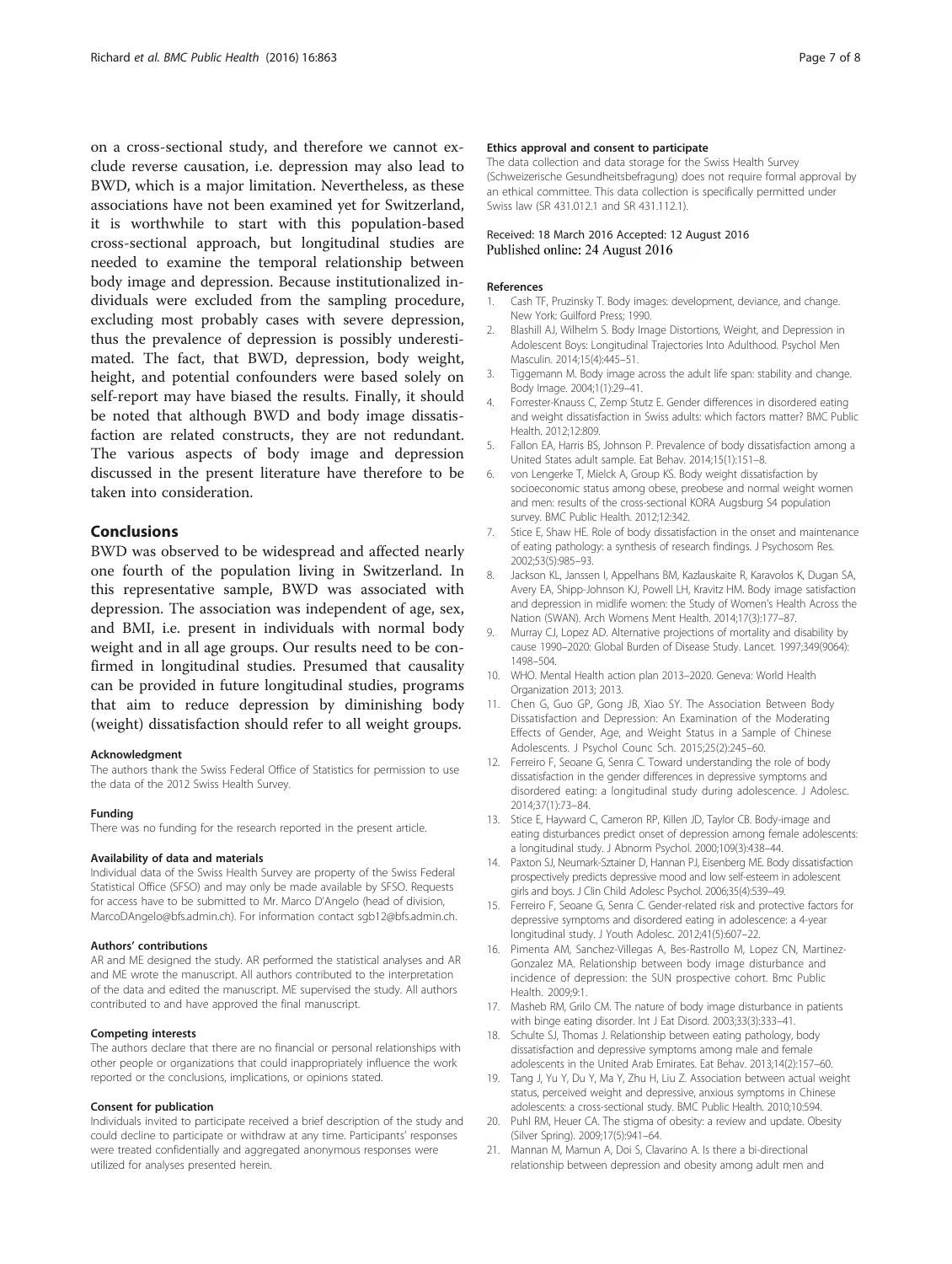<span id="page-6-0"></span>on a cross-sectional study, and therefore we cannot exclude reverse causation, i.e. depression may also lead to BWD, which is a major limitation. Nevertheless, as these associations have not been examined yet for Switzerland, it is worthwhile to start with this population-based cross-sectional approach, but longitudinal studies are needed to examine the temporal relationship between body image and depression. Because institutionalized individuals were excluded from the sampling procedure, excluding most probably cases with severe depression, thus the prevalence of depression is possibly underestimated. The fact, that BWD, depression, body weight, height, and potential confounders were based solely on self-report may have biased the results. Finally, it should be noted that although BWD and body image dissatisfaction are related constructs, they are not redundant. The various aspects of body image and depression discussed in the present literature have therefore to be taken into consideration.

## Conclusions

BWD was observed to be widespread and affected nearly one fourth of the population living in Switzerland. In this representative sample, BWD was associated with depression. The association was independent of age, sex, and BMI, i.e. present in individuals with normal body weight and in all age groups. Our results need to be confirmed in longitudinal studies. Presumed that causality can be provided in future longitudinal studies, programs that aim to reduce depression by diminishing body (weight) dissatisfaction should refer to all weight groups.

#### **Acknowledament**

The authors thank the Swiss Federal Office of Statistics for permission to use the data of the 2012 Swiss Health Survey.

#### Funding

There was no funding for the research reported in the present article.

#### Availability of data and materials

Individual data of the Swiss Health Survey are property of the Swiss Federal Statistical Office (SFSO) and may only be made available by SFSO. Requests for access have to be submitted to Mr. Marco D'Angelo (head of division, MarcoDAngelo@bfs.admin.ch). For information contact sgb12@bfs.admin.ch.

#### Authors' contributions

AR and ME designed the study. AR performed the statistical analyses and AR and ME wrote the manuscript. All authors contributed to the interpretation of the data and edited the manuscript. ME supervised the study. All authors contributed to and have approved the final manuscript.

#### Competing interests

The authors declare that there are no financial or personal relationships with other people or organizations that could inappropriately influence the work reported or the conclusions, implications, or opinions stated.

#### Consent for publication

Individuals invited to participate received a brief description of the study and could decline to participate or withdraw at any time. Participants' responses were treated confidentially and aggregated anonymous responses were utilized for analyses presented herein.

#### Ethics approval and consent to participate

The data collection and data storage for the Swiss Health Survey (Schweizerische Gesundheitsbefragung) does not require formal approval by an ethical committee. This data collection is specifically permitted under Swiss law (SR 431.012.1 and SR 431.112.1).

#### Received: 18 March 2016 Accepted: 12 August 2016 Published online: 24 August 2016

### References

- Cash TF, Pruzinsky T. Body images: development, deviance, and change. New York: Guilford Press; 1990.
- 2. Blashill AJ, Wilhelm S. Body Image Distortions, Weight, and Depression in Adolescent Boys: Longitudinal Trajectories Into Adulthood. Psychol Men Masculin. 2014;15(4):445–51.
- 3. Tiggemann M. Body image across the adult life span: stability and change. Body Image. 2004;1(1):29–41.
- 4. Forrester-Knauss C, Zemp Stutz E. Gender differences in disordered eating and weight dissatisfaction in Swiss adults: which factors matter? BMC Public Health. 2012;12:809.
- 5. Fallon EA, Harris BS, Johnson P. Prevalence of body dissatisfaction among a United States adult sample. Eat Behav. 2014;15(1):151–8.
- 6. von Lengerke T, Mielck A, Group KS. Body weight dissatisfaction by socioeconomic status among obese, preobese and normal weight women and men: results of the cross-sectional KORA Augsburg S4 population survey. BMC Public Health. 2012;12:342.
- 7. Stice E, Shaw HE. Role of body dissatisfaction in the onset and maintenance of eating pathology: a synthesis of research findings. J Psychosom Res. 2002;53(5):985–93.
- 8. Jackson KL, Janssen I, Appelhans BM, Kazlauskaite R, Karavolos K, Dugan SA, Avery EA, Shipp-Johnson KJ, Powell LH, Kravitz HM. Body image satisfaction and depression in midlife women: the Study of Women's Health Across the Nation (SWAN). Arch Womens Ment Health. 2014;17(3):177–87.
- 9. Murray CJ, Lopez AD. Alternative projections of mortality and disability by cause 1990–2020: Global Burden of Disease Study. Lancet. 1997;349(9064): 1498–504.
- 10. WHO. Mental Health action plan 2013–2020. Geneva: World Health Organization 2013; 2013.
- 11. Chen G, Guo GP, Gong JB, Xiao SY. The Association Between Body Dissatisfaction and Depression: An Examination of the Moderating Effects of Gender, Age, and Weight Status in a Sample of Chinese Adolescents. J Psychol Counc Sch. 2015;25(2):245–60.
- 12. Ferreiro F, Seoane G, Senra C. Toward understanding the role of body dissatisfaction in the gender differences in depressive symptoms and disordered eating: a longitudinal study during adolescence. J Adolesc. 2014;37(1):73–84.
- 13. Stice E, Hayward C, Cameron RP, Killen JD, Taylor CB. Body-image and eating disturbances predict onset of depression among female adolescents: a longitudinal study. J Abnorm Psychol. 2000;109(3):438–44.
- 14. Paxton SJ, Neumark-Sztainer D, Hannan PJ, Eisenberg ME. Body dissatisfaction prospectively predicts depressive mood and low self-esteem in adolescent girls and boys. J Clin Child Adolesc Psychol. 2006;35(4):539–49.
- 15. Ferreiro F, Seoane G, Senra C. Gender-related risk and protective factors for depressive symptoms and disordered eating in adolescence: a 4-year longitudinal study. J Youth Adolesc. 2012;41(5):607–22.
- 16. Pimenta AM, Sanchez-Villegas A, Bes-Rastrollo M, Lopez CN, Martinez-Gonzalez MA. Relationship between body image disturbance and incidence of depression: the SUN prospective cohort. Bmc Public Health. 2009;9:1.
- 17. Masheb RM, Grilo CM. The nature of body image disturbance in patients with binge eating disorder. Int J Eat Disord. 2003;33(3):333–41.
- 18. Schulte SJ, Thomas J. Relationship between eating pathology, body dissatisfaction and depressive symptoms among male and female adolescents in the United Arab Emirates. Eat Behav. 2013;14(2):157–60.
- 19. Tang J, Yu Y, Du Y, Ma Y, Zhu H, Liu Z. Association between actual weight status, perceived weight and depressive, anxious symptoms in Chinese adolescents: a cross-sectional study. BMC Public Health. 2010;10:594.
- 20. Puhl RM, Heuer CA. The stigma of obesity: a review and update. Obesity (Silver Spring). 2009;17(5):941–64.
- 21. Mannan M, Mamun A, Doi S, Clavarino A. Is there a bi-directional relationship between depression and obesity among adult men and